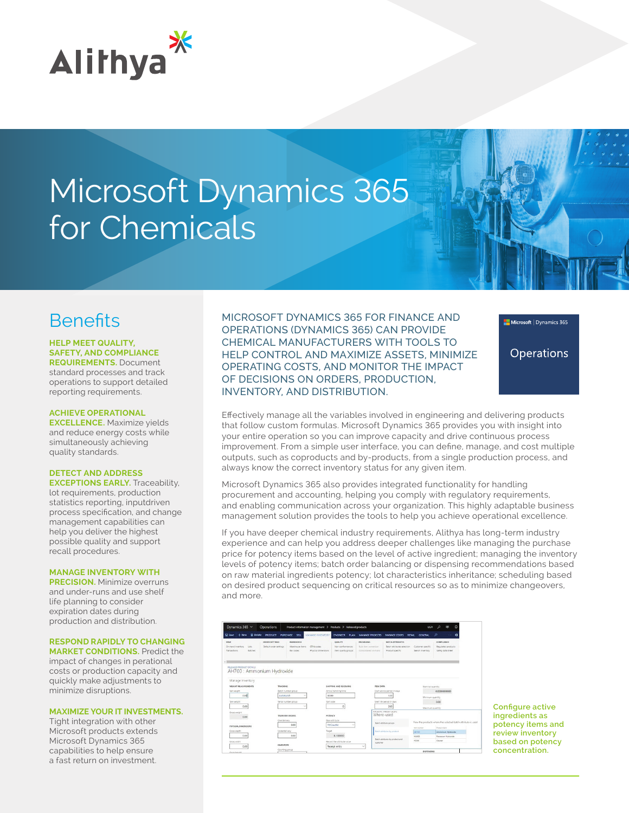

# Microsoft Dynamics 365 for Chemicals

# **Benefits**

## **HELP MEET QUALITY, SAFETY, AND COMPLIANCE**

**REQUIREMENTS.** Document standard processes and track operations to support detailed reporting requirements.

### **ACHIEVE OPERATIONAL**

**EXCELLENCE.** Maximize yields and reduce energy costs while simultaneously achieving quality standards.

# **DETECT AND ADDRESS**

**EXCEPTIONS EARLY.** Traceability, lot requirements, production statistics reporting, inputdriven process specification, and change management capabilities can help you deliver the highest possible quality and support recall procedures.

#### **MANAGE INVENTORY WITH**

**PRECISION.** Minimize overruns and under-runs and use shelf life planning to consider expiration dates during production and distribution.

#### **RESPOND RAPIDLY TO CHANGING MARKET CONDITIONS.** Predict the

impact of changes in perational costs or production capacity and quickly make adjustments to minimize disruptions.

## **MAXIMIZE YOUR IT INVESTMENTS.**

Tight integration with other Microsoft products extends Microsoft Dynamics 365 capabilities to help ensure a fast return on investment.

MICROSOFT DYNAMICS 365 FOR FINANCE AND OPERATIONS (DYNAMICS 365) CAN PROVIDE CHEMICAL MANUFACTURERS WITH TOOLS TO HELP CONTROL AND MAXIMIZE ASSETS, MINIMIZE OPERATING COSTS, AND MONITOR THE IMPACT OF DECISIONS ON ORDERS, PRODUCTION, INVENTORY, AND DISTRIBUTION.



**Operations** 

Effectively manage all the variables involved in engineering and delivering products that follow custom formulas. Microsoft Dynamics 365 provides you with insight into your entire operation so you can improve capacity and drive continuous process improvement. From a simple user interface, you can define, manage, and cost multiple outputs, such as coproducts and by-products, from a single production process, and always know the correct inventory status for any given item.

Microsoft Dynamics 365 also provides integrated functionality for handling procurement and accounting, helping you comply with regulatory requirements, and enabling communication across your organization. This highly adaptable business management solution provides the tools to help you achieve operational excellence.

If you have deeper chemical industry requirements, Alithya has long-term industry experience and can help you address deeper challenges like managing the purchase price for potency items based on the level of active ingredient; managing the inventory levels of potency items; batch order balancing or dispensing recommendations based on raw material ingredients potency; lot characteristics inheritance; scheduling based on desired product sequencing on critical resources so as to minimize changeovers, and more.

| <b>E</b> Delete<br>El Save<br>$++$ New                                                                                  | <b>PRODUCT</b><br><b>PURCHASE</b><br>SELL                                                     | MANAGE INVENTORY                  | ENGINEER PLAN                                     | <b>MANAGE PROJECTS</b>                                            | <b>MANAGE COSTS</b><br><b>RETAIL</b>                               | <b>GENERAL</b>                        | ۹<br>o<br>                                                   |
|-------------------------------------------------------------------------------------------------------------------------|-----------------------------------------------------------------------------------------------|-----------------------------------|---------------------------------------------------|-------------------------------------------------------------------|--------------------------------------------------------------------|---------------------------------------|--------------------------------------------------------------|
| <b>MEW</b><br>On-hand inventory<br>Lots<br>Batches<br>Transactions                                                      | ORDER SETTINGS<br>WARDHOUSE<br>Default order settings<br><b>Warehouse items</b><br>flar codes | GTIN codes<br>Physical dimensions | QUALITY<br>Non conformances<br>hem quality proups | <b>PACKAGING</b><br>Bulle Hern compension<br>Consolidated on hand | BATCH ATTRIBUTES<br>Batch attributes selection<br>Product specific | Customer specific<br>Search inventory | COMPLIANCE<br>Requiated products<br>Safety data sheet        |
| <b>BRUFASED PRODUCT DETAILS</b><br>AH700 : Ammonium Hydroxide<br>Manage inventory<br>WEIGHT MEASUREMENTS<br>Net weight. | TRACKING<br>Batch number group                                                                |                                   | SHIPPING AND RECEIVING<br>Arrival handling time   | <b>ITEM DATA</b>                                                  | Shelf advice period in days                                        | Nominal quantity                      | 0.0000000000                                                 |
| 0.00                                                                                                                    | AutoBatch                                                                                     | v<br>00:00                        |                                                   |                                                                   | 120                                                                | Minimum quantity                      |                                                              |
|                                                                                                                         |                                                                                               |                                   |                                                   |                                                                   |                                                                    |                                       |                                                              |
| Tare weight                                                                                                             | Serial number group                                                                           |                                   | Sort code                                         |                                                                   | Shelf life period in days                                          |                                       | 0.00                                                         |
| 0.00                                                                                                                    |                                                                                               | $\sim$                            |                                                   |                                                                   | 260                                                                | Maximum quantity                      |                                                              |
| Gross weight<br>0.00                                                                                                    | TRANSFER ORDERS                                                                               |                                   | POTENCY                                           |                                                                   | PCTCAUSTIC: PERCENT CAUSTIC<br>Where-used                          |                                       |                                                              |
|                                                                                                                         | Overdelivery<br>0.00                                                                          |                                   | Base attribute<br>PctCaustic<br>$\sim$            |                                                                   | <b>Batch attribute groups</b>                                      |                                       | View the products where the selected batch attribute is used |
| PHYSICAL DIMENSIONS                                                                                                     |                                                                                               |                                   |                                                   |                                                                   |                                                                    | <b>Term number</b>                    | Frederick Award                                              |
|                                                                                                                         | Underdelivery                                                                                 | Tarpet                            |                                                   |                                                                   | Satch advisedes by product                                         | 44700                                 | Ammonium Hydroxide                                           |
| Gross death<br>0.00<br>Gross width                                                                                      | 0.00                                                                                          |                                   | 8.100000<br>Record the attribute value.           |                                                                   | Batch attributes by product and                                    | M2002<br>P2000                        | Potassium Hudronide<br>Osaner                                |

**Configure active ingredients as potency items and review inventory based on potency concentration.**